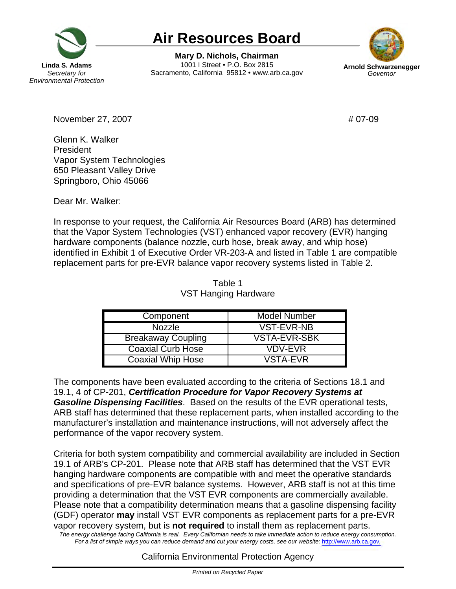

## **Air Resources Board**

**Mary D. Nichols, Chairman Linda S. Adams 1001 I Street • P.O. Box 2815 Arnold Schwarze**<br>Secretary for **Bacramento. California 95812 • www.arb.ca.gov** Governor Sacramento, California 95812 • www.arb.ca.gov



November 27, 2007 **#** 07-09

Glenn K. Walker President Vapor System Technologies 650 Pleasant Valley Drive Springboro, Ohio 45066

Dear Mr. Walker:

In response to your request, the California Air Resources Board (ARB) has determined that the Vapor System Technologies (VST) enhanced vapor recovery (EVR) hanging hardware components (balance nozzle, curb hose, break away, and whip hose) identified in Exhibit 1 of Executive Order VR-203-A and listed in Table 1 are compatible replacement parts for pre-EVR balance vapor recovery systems listed in Table 2.

| Table 1              |
|----------------------|
| VST Hanging Hardware |

| Component                 | <b>Model Number</b> |
|---------------------------|---------------------|
| <b>Nozzle</b>             | <b>VST-EVR-NB</b>   |
| <b>Breakaway Coupling</b> | <b>VSTA-EVR-SBK</b> |
| <b>Coaxial Curb Hose</b>  | <b>VDV-EVR</b>      |
| <b>Coaxial Whip Hose</b>  | <b>VSTA-EVR</b>     |

The components have been evaluated according to the criteria of Sections 18.1 and 19.1, 4 of CP-201, *Certification Procedure for Vapor Recovery Systems at Gasoline Dispensing Facilities*. Based on the results of the EVR operational tests, ARB staff has determined that these replacement parts, when installed according to the manufacturer's installation and maintenance instructions, will not adversely affect the performance of the vapor recovery system.

The energy challenge facing California is real. Every Californian needs to take immediate action to reduce energy consumption. Criteria for both system compatibility and commercial availability are included in Section 19.1 of ARB's CP-201. Please note that ARB staff has determined that the VST EVR hanging hardware components are compatible with and meet the operative standards and specifications of pre-EVR balance systems. However, ARB staff is not at this time providing a determination that the VST EVR components are commercially available. Please note that a compatibility determination means that a gasoline dispensing facility (GDF) operator **may** install VST EVR components as replacement parts for a pre-EVR vapor recovery system, but is **not required** to install them as replacement parts. Fora list of simple ways you can reduce demand and cut your energy costs, see our website: http://www.arb.ca.gov.

## California Environmental Protection Agency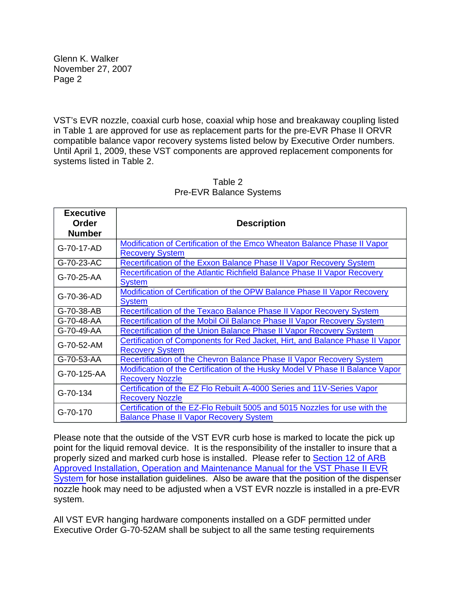Glenn K. Walker November 27, 2007 Page 2

VST's EVR nozzle, coaxial curb hose, coaxial whip hose and breakaway coupling listed in Table 1 are approved for use as replacement parts for the pre-EVR Phase II ORVR compatible balance vapor recovery systems listed below by Executive Order numbers. Until April 1, 2009, these VST components are approved replacement components for systems listed in Table 2.

| <b>Executive</b><br>Order | <b>Description</b>                                                                                                          |  |
|---------------------------|-----------------------------------------------------------------------------------------------------------------------------|--|
| <b>Number</b>             |                                                                                                                             |  |
| G-70-17-AD                | Modification of Certification of the Emco Wheaton Balance Phase II Vapor<br><b>Recovery System</b>                          |  |
| G-70-23-AC                | Recertification of the Exxon Balance Phase II Vapor Recovery System                                                         |  |
| G-70-25-AA                | Recertification of the Atlantic Richfield Balance Phase II Vapor Recovery<br><b>System</b>                                  |  |
| G-70-36-AD                | Modification of Certification of the OPW Balance Phase II Vapor Recovery<br><b>System</b>                                   |  |
| G-70-38-AB                | Recertification of the Texaco Balance Phase II Vapor Recovery System                                                        |  |
| G-70-48-AA                | Recertification of the Mobil Oil Balance Phase II Vapor Recovery System                                                     |  |
| G-70-49-AA                | Recertification of the Union Balance Phase II Vapor Recovery System                                                         |  |
| G-70-52-AM                | Certification of Components for Red Jacket, Hirt, and Balance Phase II Vapor<br><b>Recovery System</b>                      |  |
| G-70-53-AA                | Recertification of the Chevron Balance Phase II Vapor Recovery System                                                       |  |
| G-70-125-AA               | Modification of the Certification of the Husky Model V Phase II Balance Vapor<br><b>Recovery Nozzle</b>                     |  |
| G-70-134                  | Certification of the EZ Flo Rebuilt A-4000 Series and 11V-Series Vapor<br><b>Recovery Nozzle</b>                            |  |
| G-70-170                  | Certification of the EZ-Flo Rebuilt 5005 and 5015 Nozzles for use with the<br><b>Balance Phase II Vapor Recovery System</b> |  |

## Table 2 Pre-EVR Balance Systems

Please note that the outside of the VST EVR curb hose is marked to locate the pick up point for the liquid removal device. It is the responsibility of the installer to insure that a properly sized and marked curb hose is installed. Please refer to Section 12 of ARB Approved Installation, Operation and Maintenance Manual for the VST Phase II EVR System for hose installation guidelines. Also be aware that the position of the dispenser nozzle hook may need to be adjusted when a VST EVR nozzle is installed in a pre-EVR system.

All VST EVR hanging hardware components installed on a GDF permitted under Executive Order G-70-52AM shall be subject to all the same testing requirements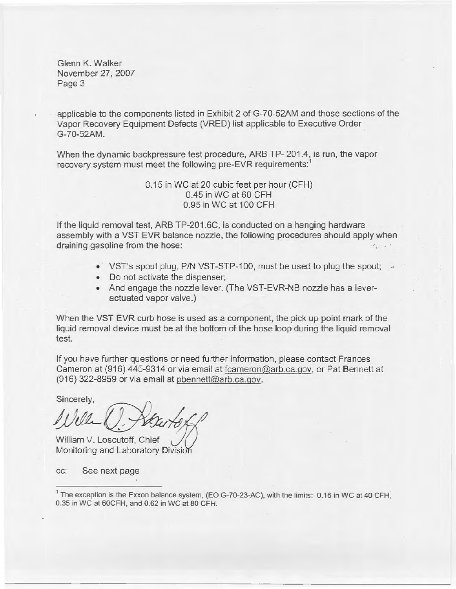Glenn K. Walker November 27, 2007 Page 3

applicable to the components listed in Exhibit 2 of G-70-52AM and those sections of the Vapor Recovery Equipment Defects (VRED) list applicable to Executive Order G-70-52AM.

When the dynamic backpressure test procedure, ARB TP- 201.4, is run, the vapor recovery system must meet the following pre-EVR requirements:<sup>1</sup>

> 0.15 in WC at 20 cubic feet per hour (CFH) 0.45 in WC at 60 CFH 0.95 in WC at 100 CFH

If the liquid removal test, ARB [TP-201.6C](https://TP-201.6C), is conducted on a hanging hardware assembly with a VST EVR balance nozzle, the following procedures should apply when draining gasoline from the hose:

- VST's spout plug, P/N VST-STP-100, must be used to plug the spout;
- Do not activate the dispenser;
- And engage the nozzle lever. (The VST-EVR-NB nozzle has a leveractuated vapor valve.)

When the VST EVR curb hose is used as a component, the pick up point mark of the liquid removal device must be at the bottom of the hose loop during the liquid removal test.

If you have further questions or need further information, please contact Frances Cameron at (916) 445-9314 or via email at [fcameron@arb.ca.qov,](mailto:fcameron@arb.ca.qov) or Pat Bennett at (916) 322-8959 or via email at [pbennett@arb.ca.qov.](mailto:pbennett@arb.ca.qov)

sincerely,  $\mathscr{L}$ 

William V. Loscutoff, Chief Monitoring and Laboratory Division

cc: See next page

<sup>&</sup>lt;sup>1</sup> The exception is the Exxon balance system, (EO G-70-23-AC), with the limits: 0.16 in WC at 40 CFH, 0.35 in WC at 60CFH, and 0.62 in WC at 80 CFH.